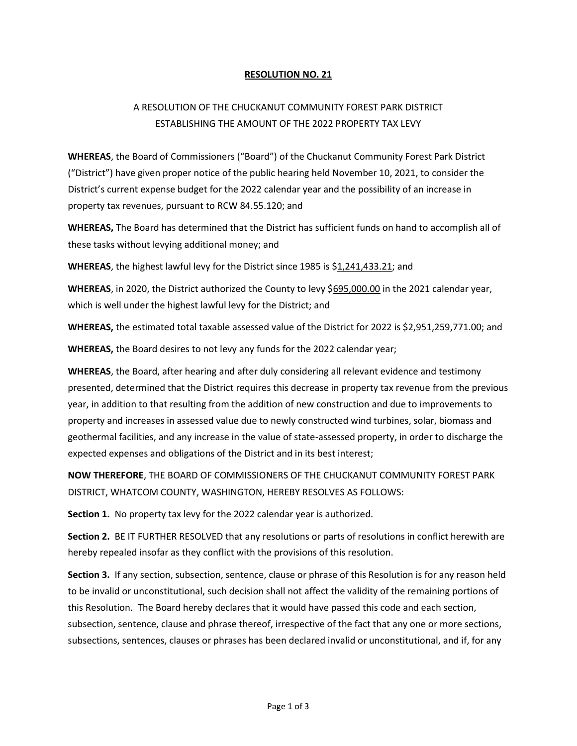## RESOLUTION NO. 21

## A RESOLUTION OF THE CHUCKANUT COMMUNITY FOREST PARK DISTRICT ESTABLISHING THE AMOUNT OF THE 2022 PROPERTY TAX LEVY

WHEREAS, the Board of Commissioners ("Board") of the Chuckanut Community Forest Park District ("District") have given proper notice of the public hearing held November 10, 2021, to consider the District's current expense budget for the 2022 calendar year and the possibility of an increase in property tax revenues, pursuant to RCW 84.55.120; and

WHEREAS, The Board has determined that the District has sufficient funds on hand to accomplish all of these tasks without levying additional money; and

WHEREAS, the highest lawful levy for the District since 1985 is \$1,241,433.21; and

WHEREAS, in 2020, the District authorized the County to levy \$695,000.00 in the 2021 calendar year, which is well under the highest lawful levy for the District; and

WHEREAS, the estimated total taxable assessed value of the District for 2022 is \$2,951,259,771.00; and

WHEREAS, the Board desires to not levy any funds for the 2022 calendar year;

WHEREAS, the Board, after hearing and after duly considering all relevant evidence and testimony presented, determined that the District requires this decrease in property tax revenue from the previous year, in addition to that resulting from the addition of new construction and due to improvements to property and increases in assessed value due to newly constructed wind turbines, solar, biomass and geothermal facilities, and any increase in the value of state-assessed property, in order to discharge the expected expenses and obligations of the District and in its best interest;

NOW THEREFORE, THE BOARD OF COMMISSIONERS OF THE CHUCKANUT COMMUNITY FOREST PARK DISTRICT, WHATCOM COUNTY, WASHINGTON, HEREBY RESOLVES AS FOLLOWS:

Section 1. No property tax levy for the 2022 calendar year is authorized.

Section 2. BE IT FURTHER RESOLVED that any resolutions or parts of resolutions in conflict herewith are hereby repealed insofar as they conflict with the provisions of this resolution.

Section 3. If any section, subsection, sentence, clause or phrase of this Resolution is for any reason held to be invalid or unconstitutional, such decision shall not affect the validity of the remaining portions of this Resolution. The Board hereby declares that it would have passed this code and each section, subsection, sentence, clause and phrase thereof, irrespective of the fact that any one or more sections, subsections, sentences, clauses or phrases has been declared invalid or unconstitutional, and if, for any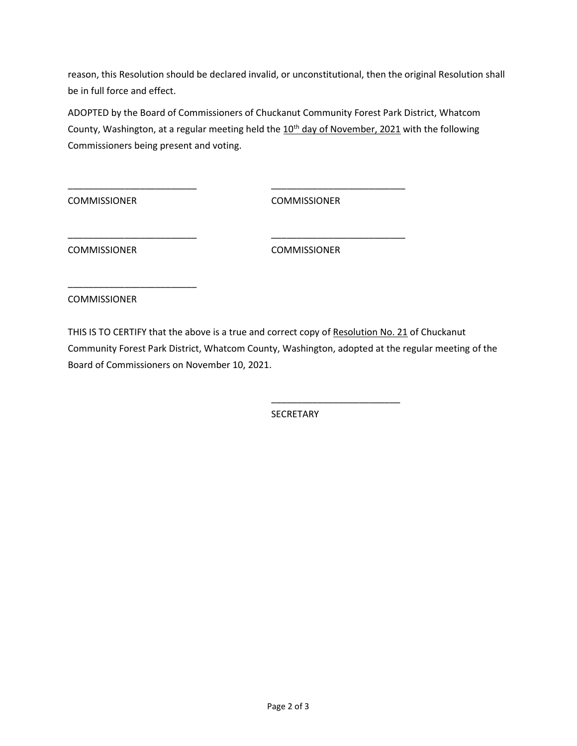reason, this Resolution should be declared invalid, or unconstitutional, then the original Resolution shall be in full force and effect.

ADOPTED by the Board of Commissioners of Chuckanut Community Forest Park District, Whatcom County, Washington, at a regular meeting held the 10<sup>th</sup> day of November, 2021 with the following Commissioners being present and voting.

\_\_\_\_\_\_\_\_\_\_\_\_\_\_\_\_\_\_\_\_\_\_\_\_\_ \_\_\_\_\_\_\_\_\_\_\_\_\_\_\_\_\_\_\_\_\_\_\_\_\_\_

\_\_\_\_\_\_\_\_\_\_\_\_\_\_\_\_\_\_\_\_\_\_\_\_\_ \_\_\_\_\_\_\_\_\_\_\_\_\_\_\_\_\_\_\_\_\_\_\_\_\_\_

 $\overline{\phantom{a}}$  , and the contract of the contract of the contract of the contract of the contract of the contract of the contract of the contract of the contract of the contract of the contract of the contract of the contrac

COMMISSIONER COMMISSIONER

COMMISSIONER COMMISSIONER

COMMISSIONER

\_\_\_\_\_\_\_\_\_\_\_\_\_\_\_\_\_\_\_\_\_\_\_\_\_

THIS IS TO CERTIFY that the above is a true and correct copy of Resolution No. 21 of Chuckanut Community Forest Park District, Whatcom County, Washington, adopted at the regular meeting of the Board of Commissioners on November 10, 2021.

**SECRETARY**